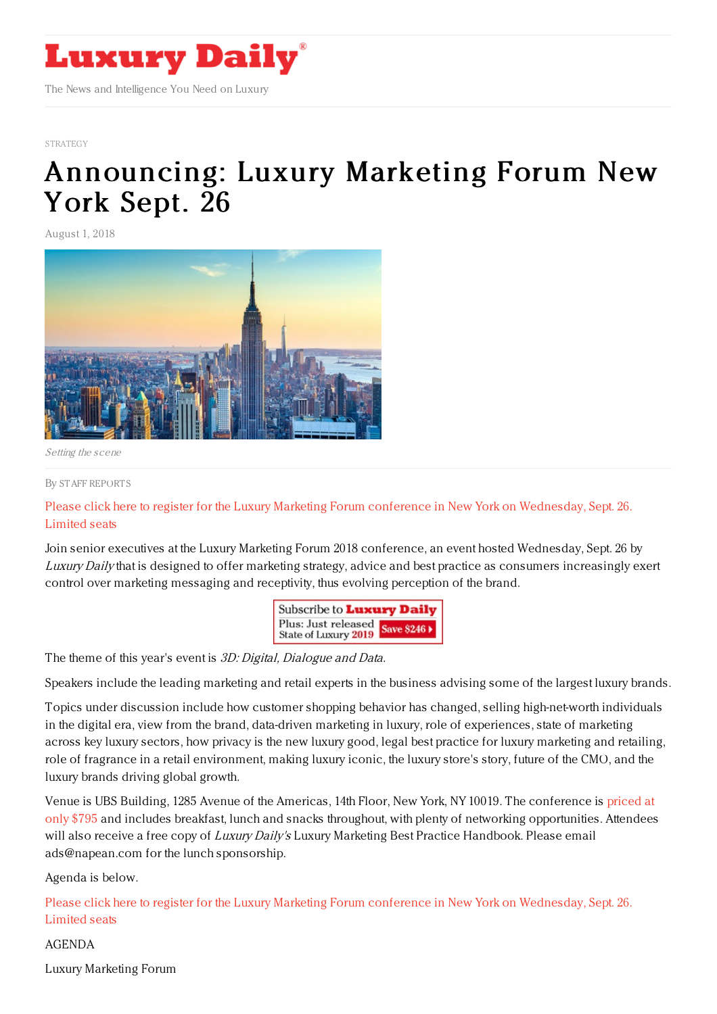

#### **[STRATEGY](https://www.luxurydaily.com/category/opinion/strategy-opinion/)**

# [Announcing:](https://www.luxurydaily.com/announcing-luxury-marketing-forum-new-york-sept-26-11/) Luxury Marketing Forum New York Sept. 26

August 1, 2018



Setting the scene

#### By STAFF [REPORT](file:///author/staff-reports) S

Please click here to register for the Luxury Marketing Forum conference in New York on [Wednesday,](file:///conference-page) Sept. 26. Limited seats

Join senior executives at the Luxury Marketing Forum 2018 conference, an event hosted Wednesday, Sept. 26 by Luxury Daily that is designed to offer marketing strategy, advice and best practice as consumers increasingly exert control over marketing messaging and receptivity, thus evolving perception of the brand.



The theme of this year's event is 3D: Digital, Dialogue and Data.

Speakers include the leading marketing and retail experts in the business advising some of the largest luxury brands.

Topics under discussion include how customer shopping behavior has changed, selling high-net-worth individuals in the digital era, view from the brand, data-driven marketing in luxury, role of experiences, state of marketing across key luxury sectors, how privacy is the new luxury good, legal best practice for luxury marketing and retailing, role of fragrance in a retail environment, making luxury iconic, the luxury store's story, future of the CMO, and the luxury brands driving global growth.

Venue is UBS Building, 1285 Avenue of the Americas, 14th Floor, New York, NY 10019. The conference is priced at only \$795 and includes breakfast, lunch and snacks throughout, with plenty of networking [opportunities.](https://www.luxurydaily.com/conference-page/) Attendees will also receive a free copy of Luxury Daily's Luxury Marketing Best Practice Handbook. Please email ads@napean.com for the lunch sponsorship.

Agenda is below.

Please click here to register for the Luxury Marketing Forum conference in New York on [Wednesday,](file:///conference-page) Sept. 26. Limited seats

### AGENDA

Luxury Marketing Forum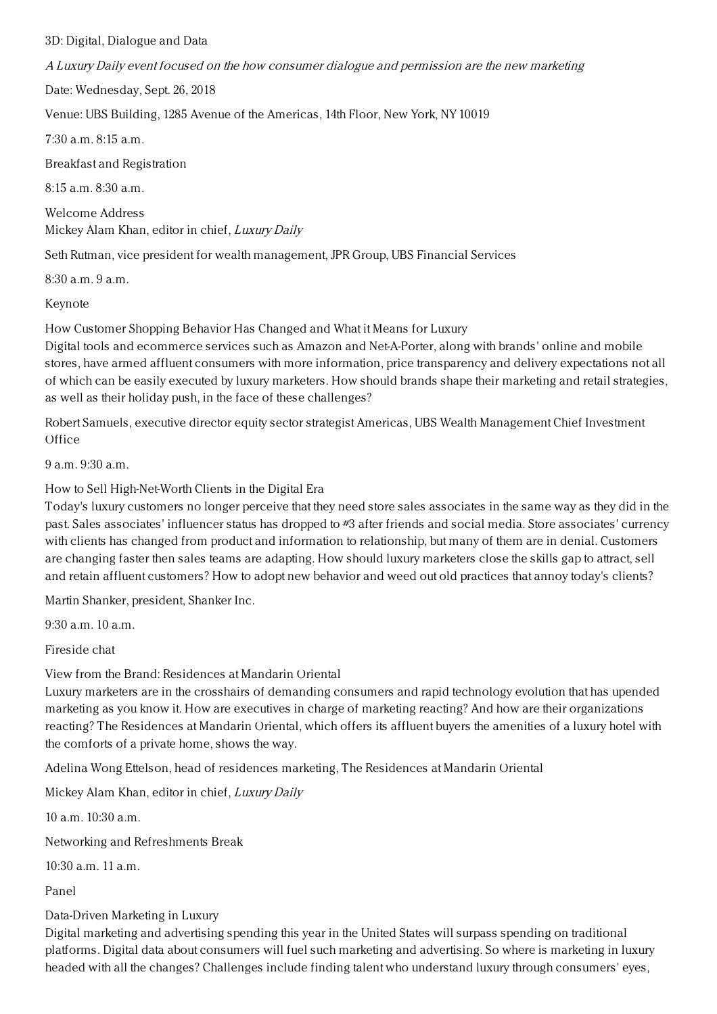3D: Digital, Dialogue and Data

A Luxury Daily event focused on the how consumer dialogue and permission are the new marketing

Date: Wednesday, Sept. 26, 2018

Venue: UBS Building, 1285 Avenue of the Americas, 14th Floor, New York, NY 10019

7:30 a.m. 8:15 a.m.

Breakfast and Registration

8:15 a.m. 8:30 a.m.

Welcome Address Mickey Alam Khan, editor in chief, Luxury Daily

Seth Rutman, vice president for wealth management, JPR Group, UBS Financial Services

8:30 a.m. 9 a.m.

Keynote

How Customer Shopping Behavior Has Changed and What it Means for Luxury

Digital tools and ecommerce services such as Amazon and Net-A-Porter, along with brands' online and mobile stores, have armed affluent consumers with more information, price transparency and delivery expectations not all of which can be easily executed by luxury marketers. How should brands shape their marketing and retail strategies, as well as their holiday push, in the face of these challenges?

Robert Samuels, executive director equity sector strategist Americas, UBS Wealth Management Chief Investment **Office** 

9 a.m. 9:30 a.m.

How to Sell High-Net-Worth Clients in the Digital Era

Today's luxury customers no longer perceive that they need store sales associates in the same way as they did in the past. Sales associates' influencer status has dropped to #3 after friends and social media. Store associates' currency with clients has changed from product and information to relationship, but many of them are in denial. Customers are changing faster then sales teams are adapting. How should luxury marketers close the skills gap to attract, sell and retain affluent customers? How to adopt new behavior and weed out old practices that annoy today's clients?

Martin Shanker, president, Shanker Inc.

9:30 a.m. 10 a.m.

Fireside chat

View from the Brand: Residences at Mandarin Oriental

Luxury marketers are in the crosshairs of demanding consumers and rapid technology evolution that has upended marketing as you know it. How are executives in charge of marketing reacting? And how are their organizations reacting? The Residences at Mandarin Oriental, which offers its affluent buyers the amenities of a luxury hotel with the comforts of a private home, shows the way.

Adelina Wong Ettelson, head of residences marketing, The Residences at Mandarin Oriental

Mickey Alam Khan, editor in chief, Luxury Daily

10 a.m. 10:30 a.m.

Networking and Refreshments Break

 $10:30$  a.m. 11 a.m.

Panel

## Data-Driven Marketing in Luxury

Digital marketing and advertising spending this year in the United States will surpass spending on traditional platforms. Digital data about consumers will fuel such marketing and advertising. So where is marketing in luxury headed with all the changes? Challenges include finding talent who understand luxury through consumers' eyes,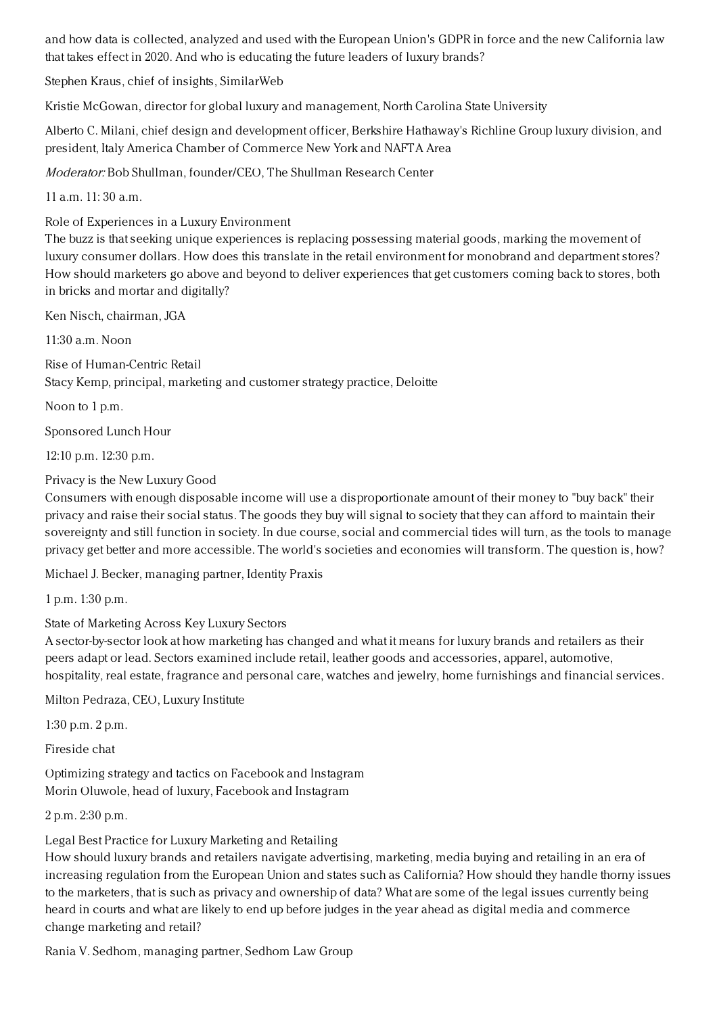and how data is collected, analyzed and used with the European Union's GDPR in force and the new California law that takes effect in 2020. And who is educating the future leaders of luxury brands?

Stephen Kraus, chief of insights, SimilarWeb

Kristie McGowan, director for global luxury and management, North Carolina State University

Alberto C. Milani, chief design and development officer, Berkshire Hathaway's Richline Group luxury division, and president, Italy America Chamber of Commerce New York and NAFTA Area

Moderator: Bob Shullman, founder/CEO, The Shullman Research Center

 $11 a m$   $11: 30 a m$ 

Role of Experiences in a Luxury Environment

The buzz is that seeking unique experiences is replacing possessing material goods, marking the movement of luxury consumer dollars. How does this translate in the retail environment for monobrand and department stores? How should marketers go above and beyond to deliver experiences that get customers coming back to stores, both in bricks and mortar and digitally?

Ken Nisch, chairman, JGA

 $11:30$  a.m. Noon

Rise of Human-Centric Retail Stacy Kemp, principal, marketing and customer strategy practice, Deloitte

Noon to 1 p.m.

Sponsored Lunch Hour

12:10 p.m. 12:30 p.m.

Privacy is the New Luxury Good

Consumers with enough disposable income will use a disproportionate amount of their money to "buy back" their privacy and raise their social status. The goods they buy will signal to society that they can afford to maintain their sovereignty and still function in society. In due course, social and commercial tides will turn, as the tools to manage privacy get better and more accessible. The world's societies and economies will transform. The question is, how?

Michael J. Becker, managing partner, Identity Praxis

1 p.m. 1:30 p.m.

State of Marketing Across Key Luxury Sectors

A sector-by-sector look at how marketing has changed and what it means for luxury brands and retailers as their peers adapt or lead. Sectors examined include retail, leather goods and accessories, apparel, automotive, hospitality, real estate, fragrance and personal care, watches and jewelry, home furnishings and financial services.

Milton Pedraza, CEO, Luxury Institute

1:30 p.m. 2 p.m.

Fireside chat

Optimizing strategy and tactics on Facebook and Instagram Morin Oluwole, head of luxury, Facebook and Instagram

2 p.m. 2:30 p.m.

Legal Best Practice for Luxury Marketing and Retailing

How should luxury brands and retailers navigate advertising, marketing, media buying and retailing in an era of increasing regulation from the European Union and states such as California? How should they handle thorny issues to the marketers, that is such as privacy and ownership of data? What are some of the legal issues currently being heard in courts and what are likely to end up before judges in the year ahead as digital media and commerce change marketing and retail?

Rania V. Sedhom, managing partner, Sedhom Law Group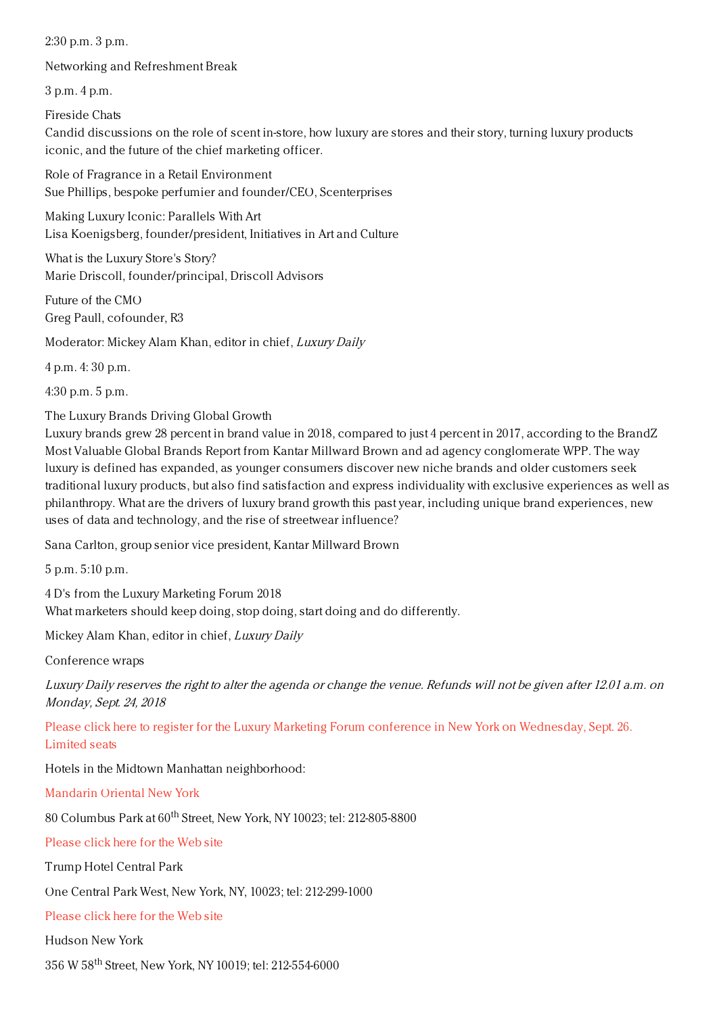2:30 p.m. 3 p.m.

Networking and Refreshment Break

3 p.m. 4 p.m.

Fireside Chats

Candid discussions on the role of scent in-store, how luxury are stores and their story, turning luxury products iconic, and the future of the chief marketing officer.

Role of Fragrance in a Retail Environment Sue Phillips, bespoke perfumier and founder/CEO, Scenterprises

Making Luxury Iconic: Parallels With Art Lisa Koenigsberg, founder/president, Initiatives in Art and Culture

What is the Luxury Store's Story? Marie Driscoll, founder/principal, Driscoll Advisors

Future of the CMO Greg Paull, cofounder, R3

Moderator: Mickey Alam Khan, editor in chief, Luxury Daily

4 p.m. 4: 30 p.m.

4:30 p.m. 5 p.m.

The Luxury Brands Driving Global Growth

Luxury brands grew 28 percent in brand value in 2018, compared to just 4 percent in 2017, according to the BrandZ Most Valuable Global Brands Report from Kantar Millward Brown and ad agency conglomerate WPP. The way luxury is defined has expanded, as younger consumers discover new niche brands and older customers seek traditional luxury products, but also find satisfaction and express individuality with exclusive experiences as well as philanthropy. What are the drivers of luxury brand growth this past year, including unique brand experiences, new uses of data and technology, and the rise of streetwear influence?

Sana Carlton, group senior vice president, Kantar Millward Brown

5 p.m. 5:10 p.m.

4 D's from the Luxury Marketing Forum 2018 What marketers should keep doing, stop doing, start doing and do differently.

Mickey Alam Khan, editor in chief, Luxury Daily

Conference wraps

Luxury Daily reserves the right to alter the agenda or change the venue. Refunds will not be given after 12.01 a.m. on Monday, Sept. 24, 2018

Please click here to register for the Luxury Marketing Forum conference in New York on [Wednesday,](file:///conference-page) Sept. 26. Limited seats

Hotels in the Midtown Manhattan neighborhood:

[Mandarin](http://www.mandarinoriental.com/newyork/?htl=MONYC&eng=google&src=local) Oriental New York

 $80$  Columbus Park at  $60^{\rm th}$  Street, New York, NY 10023; tel: 212-805-8800

[Please](http://www.mandarinoriental.com/newyork/?htl=MONYC&eng=google&src=local) click here for the Web site

Trump Hotel Central Park

One Central Park West, New York, NY, 10023; tel: 212-299-1000

[Please](https://www.trumphotelcollection.com/central-park/) click here for the Web site

Hudson New York

356 W 58<sup>th</sup> Street, New York, NY 10019; tel: 212-554-6000